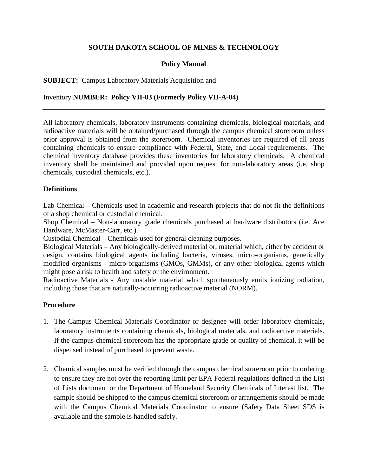# **SOUTH DAKOTA SCHOOL OF MINES & TECHNOLOGY**

# **Policy Manual**

# **SUBJECT:** Campus Laboratory Materials Acquisition and

### Inventory **NUMBER: Policy VII-03 (Formerly Policy VII-A-04)**

All laboratory chemicals, laboratory instruments containing chemicals, biological materials, and radioactive materials will be obtained/purchased through the campus chemical storeroom unless prior approval is obtained from the storeroom. Chemical inventories are required of all areas containing chemicals to ensure compliance with Federal, State, and Local requirements. The chemical inventory database provides these inventories for laboratory chemicals. A chemical inventory shall be maintained and provided upon request for non-laboratory areas (i.e. shop chemicals, custodial chemicals, etc.).

### **Definitions**

Lab Chemical – Chemicals used in academic and research projects that do not fit the definitions of a shop chemical or custodial chemical.

Shop Chemical – Non-laboratory grade chemicals purchased at hardware distributors (i.e. Ace Hardware, McMaster-Carr, etc.).

Custodial Chemical – Chemicals used for general cleaning purposes.

Biological Materials – Any biologically-derived material or, material which, either by accident or design, contains biological agents including bacteria, viruses, micro-organisms, genetically modified organisms - micro-organisms (GMOs, GMMs), or any other biological agents which might pose a risk to health and safety or the environment.

Radioactive Materials - Any unstable material which spontaneously emits ionizing radiation, including those that are naturally-occurring radioactive material (NORM).

### **Procedure**

- 1. The Campus Chemical Materials Coordinator or designee will order laboratory chemicals, laboratory instruments containing chemicals, biological materials, and radioactive materials. If the campus chemical storeroom has the appropriate grade or quality of chemical, it will be dispensed instead of purchased to prevent waste.
- 2. Chemical samples must be verified through the campus chemical storeroom prior to ordering to ensure they are not over the reporting limit per EPA Federal regulations defined in the List of Lists document or the Department of Homeland Security Chemicals of Interest list. The sample should be shipped to the campus chemical storeroom or arrangements should be made with the Campus Chemical Materials Coordinator to ensure (Safety Data Sheet SDS is available and the sample is handled safely.